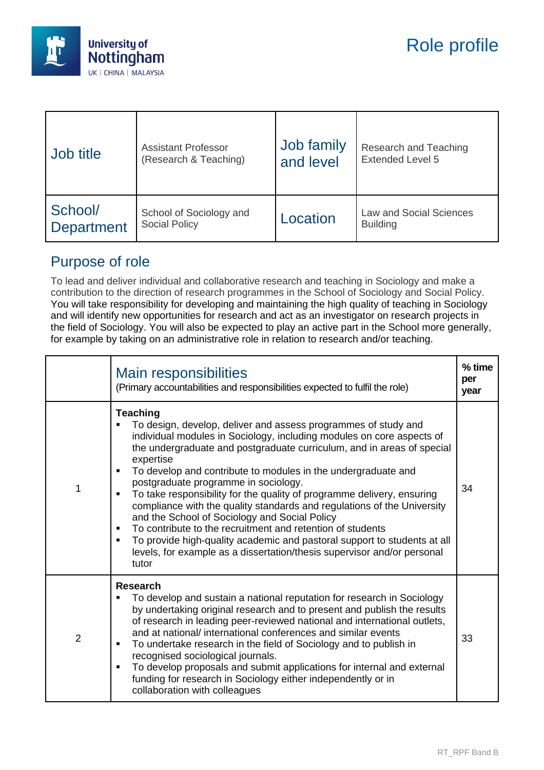

| Job title         | <b>Assistant Professor</b> | Job family | Research and Teaching          |
|-------------------|----------------------------|------------|--------------------------------|
|                   | (Research & Teaching)      | and level  | <b>Extended Level 5</b>        |
| School/           | School of Sociology and    | Location   | <b>Law and Social Sciences</b> |
| <b>Department</b> | <b>Social Policy</b>       |            | <b>Building</b>                |

## Purpose of role

To lead and deliver individual and collaborative research and teaching in Sociology and make a contribution to the direction of research programmes in the School of Sociology and Social Policy. You will take responsibility for developing and maintaining the high quality of teaching in Sociology and will identify new opportunities for research and act as an investigator on research projects in the field of Sociology. You will also be expected to play an active part in the School more generally, for example by taking on an administrative role in relation to research and/or teaching.

|                | Main responsibilities<br>(Primary accountabilities and responsibilities expected to fulfil the role)                                                                                                                                                                                                                                                                                                                                                                                                                                                                                                                                                                                                                                                                                                      | % time<br>per<br>year |
|----------------|-----------------------------------------------------------------------------------------------------------------------------------------------------------------------------------------------------------------------------------------------------------------------------------------------------------------------------------------------------------------------------------------------------------------------------------------------------------------------------------------------------------------------------------------------------------------------------------------------------------------------------------------------------------------------------------------------------------------------------------------------------------------------------------------------------------|-----------------------|
| 1              | Teaching<br>To design, develop, deliver and assess programmes of study and<br>individual modules in Sociology, including modules on core aspects of<br>the undergraduate and postgraduate curriculum, and in areas of special<br>expertise<br>To develop and contribute to modules in the undergraduate and<br>postgraduate programme in sociology.<br>To take responsibility for the quality of programme delivery, ensuring<br>compliance with the quality standards and regulations of the University<br>and the School of Sociology and Social Policy<br>To contribute to the recruitment and retention of students<br>$\blacksquare$<br>To provide high-quality academic and pastoral support to students at all<br>levels, for example as a dissertation/thesis supervisor and/or personal<br>tutor | 34                    |
| $\overline{2}$ | <b>Research</b><br>To develop and sustain a national reputation for research in Sociology<br>by undertaking original research and to present and publish the results<br>of research in leading peer-reviewed national and international outlets,<br>and at national/ international conferences and similar events<br>To undertake research in the field of Sociology and to publish in<br>recognised sociological journals.<br>To develop proposals and submit applications for internal and external<br>funding for research in Sociology either independently or in<br>collaboration with colleagues                                                                                                                                                                                                    | 33                    |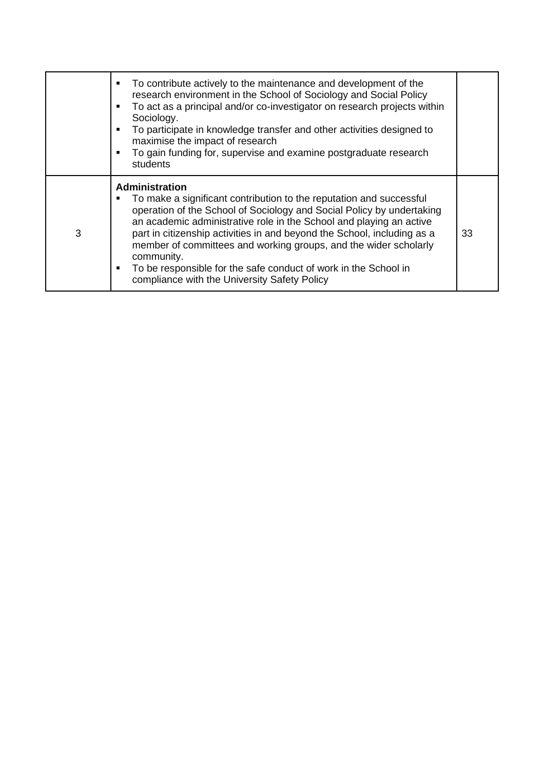|   | To contribute actively to the maintenance and development of the<br>٠<br>research environment in the School of Sociology and Social Policy<br>To act as a principal and/or co-investigator on research projects within<br>٠<br>Sociology.<br>To participate in knowledge transfer and other activities designed to<br>٠<br>maximise the impact of research<br>To gain funding for, supervise and examine postgraduate research<br>٠<br>students                                                                                   |    |
|---|-----------------------------------------------------------------------------------------------------------------------------------------------------------------------------------------------------------------------------------------------------------------------------------------------------------------------------------------------------------------------------------------------------------------------------------------------------------------------------------------------------------------------------------|----|
| 3 | <b>Administration</b><br>To make a significant contribution to the reputation and successful<br>operation of the School of Sociology and Social Policy by undertaking<br>an academic administrative role in the School and playing an active<br>part in citizenship activities in and beyond the School, including as a<br>member of committees and working groups, and the wider scholarly<br>community.<br>To be responsible for the safe conduct of work in the School in<br>٠<br>compliance with the University Safety Policy | 33 |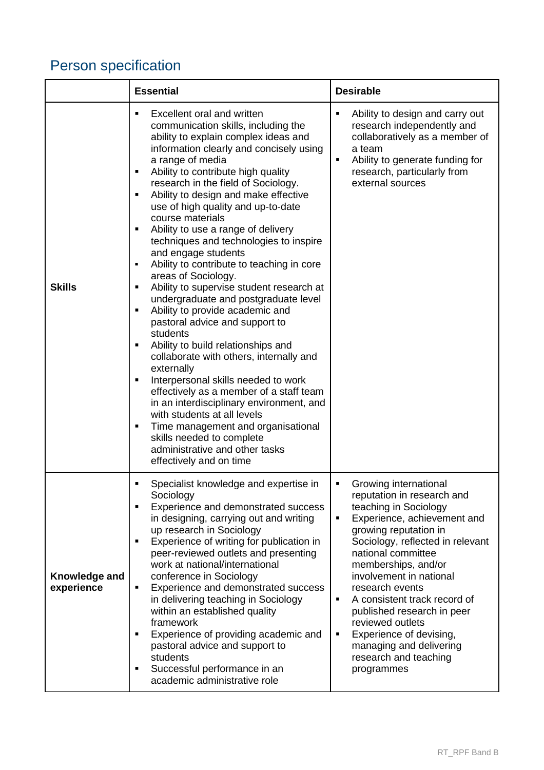## Person specification

|                             | <b>Essential</b>                                                                                                                                                                                                                                                                                                                                                                                                                                                                                                                                                                                                                                                                                                                                                                                                                                                                                                                                                                                                                                                                                                                                              | <b>Desirable</b>                                                                                                                                                                                                                                                                                                                                                                                                                                                                    |
|-----------------------------|---------------------------------------------------------------------------------------------------------------------------------------------------------------------------------------------------------------------------------------------------------------------------------------------------------------------------------------------------------------------------------------------------------------------------------------------------------------------------------------------------------------------------------------------------------------------------------------------------------------------------------------------------------------------------------------------------------------------------------------------------------------------------------------------------------------------------------------------------------------------------------------------------------------------------------------------------------------------------------------------------------------------------------------------------------------------------------------------------------------------------------------------------------------|-------------------------------------------------------------------------------------------------------------------------------------------------------------------------------------------------------------------------------------------------------------------------------------------------------------------------------------------------------------------------------------------------------------------------------------------------------------------------------------|
| <b>Skills</b>               | Excellent oral and written<br>$\blacksquare$<br>communication skills, including the<br>ability to explain complex ideas and<br>information clearly and concisely using<br>a range of media<br>Ability to contribute high quality<br>П<br>research in the field of Sociology.<br>Ability to design and make effective<br>П<br>use of high quality and up-to-date<br>course materials<br>Ability to use a range of delivery<br>Ξ<br>techniques and technologies to inspire<br>and engage students<br>Ability to contribute to teaching in core<br>٠<br>areas of Sociology.<br>Ability to supervise student research at<br>п<br>undergraduate and postgraduate level<br>Ability to provide academic and<br>п<br>pastoral advice and support to<br>students<br>Ability to build relationships and<br>٠<br>collaborate with others, internally and<br>externally<br>Interpersonal skills needed to work<br>effectively as a member of a staff team<br>in an interdisciplinary environment, and<br>with students at all levels<br>Time management and organisational<br>٠<br>skills needed to complete<br>administrative and other tasks<br>effectively and on time | Ability to design and carry out<br>٠<br>research independently and<br>collaboratively as a member of<br>a team<br>Ability to generate funding for<br>٠<br>research, particularly from<br>external sources                                                                                                                                                                                                                                                                           |
| Knowledge and<br>experience | Specialist knowledge and expertise in<br>Sociology<br>Experience and demonstrated success<br>п<br>in designing, carrying out and writing<br>up research in Sociology<br>Experience of writing for publication in<br>$\blacksquare$<br>peer-reviewed outlets and presenting<br>work at national/international<br>conference in Sociology<br>Experience and demonstrated success<br>п<br>in delivering teaching in Sociology<br>within an established quality<br>framework<br>Experience of providing academic and<br>$\blacksquare$<br>pastoral advice and support to<br>students<br>Successful performance in an<br>П<br>academic administrative role                                                                                                                                                                                                                                                                                                                                                                                                                                                                                                         | Growing international<br>٠<br>reputation in research and<br>teaching in Sociology<br>Experience, achievement and<br>$\blacksquare$<br>growing reputation in<br>Sociology, reflected in relevant<br>national committee<br>memberships, and/or<br>involvement in national<br>research events<br>A consistent track record of<br>٠<br>published research in peer<br>reviewed outlets<br>Experience of devising,<br>٠<br>managing and delivering<br>research and teaching<br>programmes |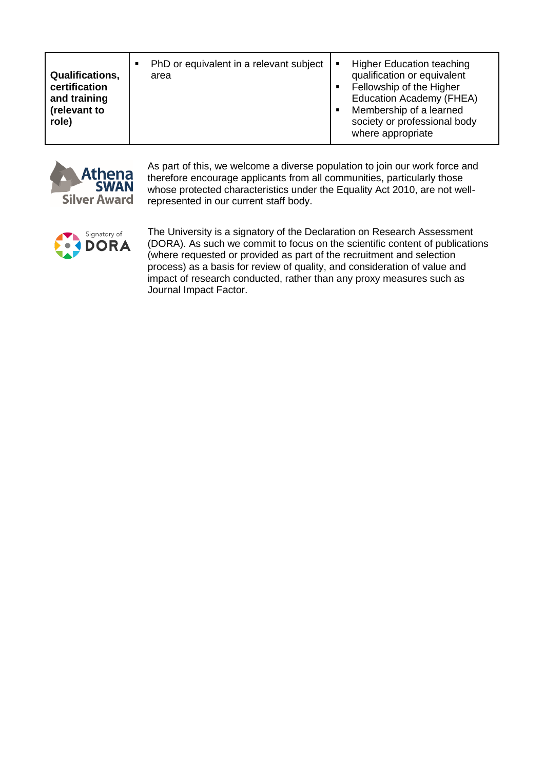| <b>Qualifications,</b><br>certification<br>and training<br>(relevant to<br>role) |  | PhD or equivalent in a relevant subject<br>area | л<br>$\blacksquare$<br>$\blacksquare$ | <b>Higher Education teaching</b><br>qualification or equivalent<br>Fellowship of the Higher<br>Education Academy (FHEA)<br>Membership of a learned<br>society or professional body<br>where appropriate |
|----------------------------------------------------------------------------------|--|-------------------------------------------------|---------------------------------------|---------------------------------------------------------------------------------------------------------------------------------------------------------------------------------------------------------|
|----------------------------------------------------------------------------------|--|-------------------------------------------------|---------------------------------------|---------------------------------------------------------------------------------------------------------------------------------------------------------------------------------------------------------|



As part of this, we welcome a diverse population to join our work force and therefore encourage applicants from all communities, particularly those whose protected characteristics under the Equality Act 2010, are not wellrepresented in our current staff body.



The University is a signatory of the Declaration on Research Assessment (DORA). As such we commit to focus on the scientific content of publications (where requested or provided as part of the recruitment and selection process) as a basis for review of quality, and consideration of value and impact of research conducted, rather than any proxy measures such as Journal Impact Factor.